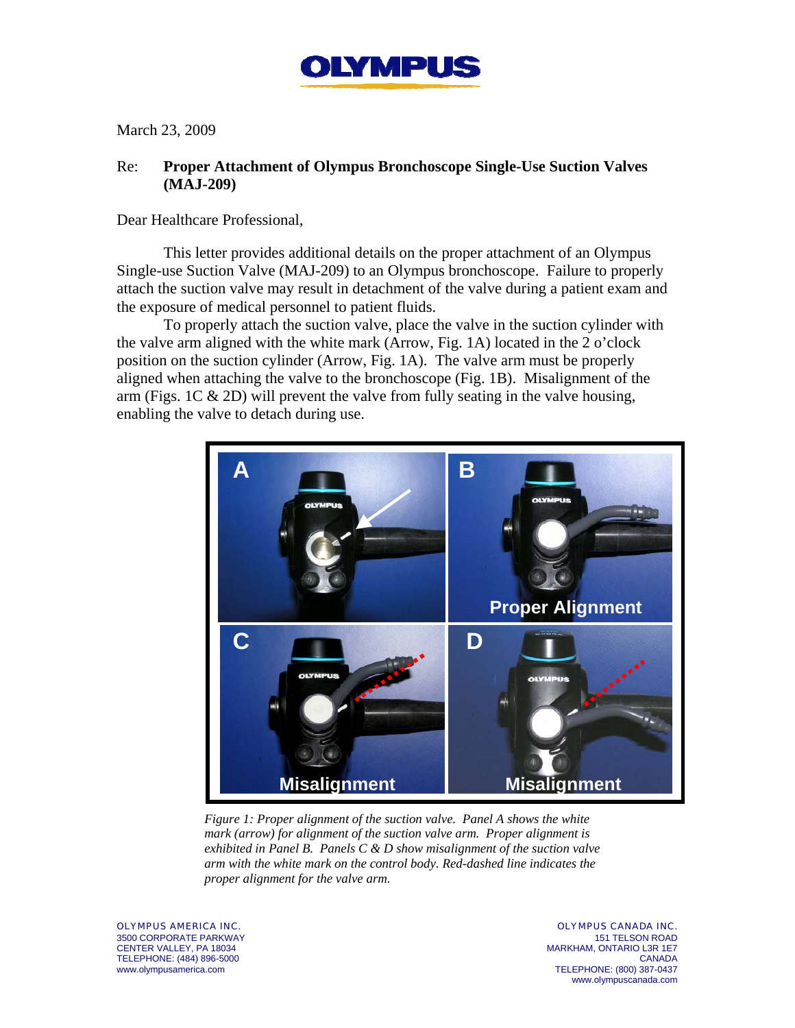

March 23, 2009

## Re: **Proper Attachment of Olympus Bronchoscope Single-Use Suction Valves (MAJ-209)**

Dear Healthcare Professional,

This letter provides additional details on the proper attachment of an Olympus Single-use Suction Valve (MAJ-209) to an Olympus bronchoscope. Failure to properly attach the suction valve may result in detachment of the valve during a patient exam and the exposure of medical personnel to patient fluids.

To properly attach the suction valve, place the valve in the suction cylinder with the valve arm aligned with the white mark (Arrow, Fig. 1A) located in the 2 o'clock position on the suction cylinder (Arrow, Fig. 1A). The valve arm must be properly aligned when attaching the valve to the bronchoscope (Fig. 1B). Misalignment of the arm (Figs. 1C & 2D) will prevent the valve from fully seating in the valve housing, enabling the valve to detach during use.



*Figure 1: Proper alignment of the suction valve. Panel A shows the white mark (arrow) for alignment of the suction valve arm. Proper alignment is exhibited in Panel B. Panels C & D show misalignment of the suction valve arm with the white mark on the control body. Red-dashed line indicates the proper alignment for the valve arm.* 

OLYMPUS AMERICA INC. 3500 CORPORATE PARKWAY CENTER VALLEY, PA 18034 TELEPHONE: (484) 896-5000 www.olympusamerica.com

OLYMPUS CANADA INC. 151 TELSON ROAD MARKHAM, ONTARIO L3R 1E7 **CANADA** TELEPHONE: (800) 387-0437 www.olympuscanada.com